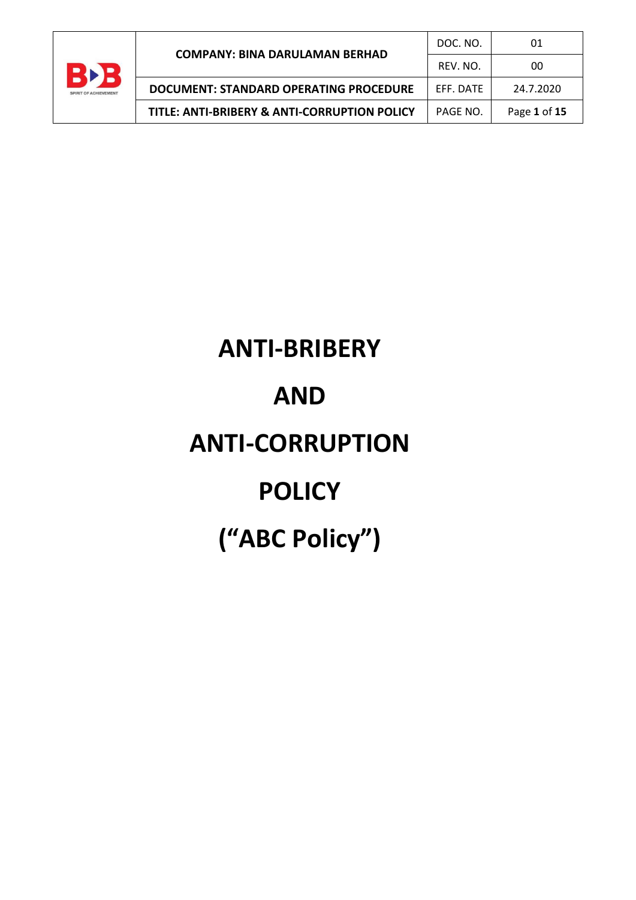

| <b>COMPANY: BINA DARULAMAN BERHAD</b>        | DOC. NO.  | 01           |
|----------------------------------------------|-----------|--------------|
|                                              | REV. NO.  | 00           |
| DOCUMENT: STANDARD OPERATING PROCEDURE       | FFF. DATE | 24.7.2020    |
| TITLE: ANTI-BRIBERY & ANTI-CORRUPTION POLICY | PAGE NO.  | Page 1 of 15 |

# **ANTI-BRIBERY AND ANTI-CORRUPTION POLICY ("ABC Policy")**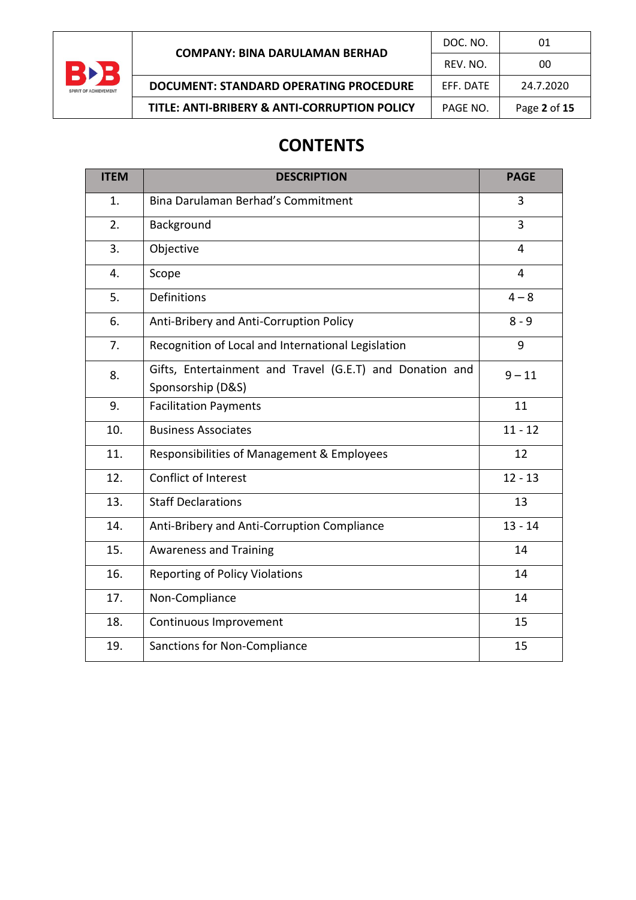

## **CONTENTS**

| <b>ITEM</b> | <b>DESCRIPTION</b>                                                            | <b>PAGE</b>    |
|-------------|-------------------------------------------------------------------------------|----------------|
| 1.          | Bina Darulaman Berhad's Commitment                                            | 3              |
| 2.          | Background                                                                    | 3              |
| 3.          | Objective                                                                     | $\overline{4}$ |
| 4.          | Scope                                                                         | 4              |
| 5.          | <b>Definitions</b>                                                            | $4 - 8$        |
| 6.          | Anti-Bribery and Anti-Corruption Policy                                       | $8 - 9$        |
| 7.          | Recognition of Local and International Legislation                            | 9              |
| 8.          | Gifts, Entertainment and Travel (G.E.T) and Donation and<br>Sponsorship (D&S) | $9 - 11$       |
| 9.          | <b>Facilitation Payments</b>                                                  | 11             |
| 10.         | <b>Business Associates</b>                                                    | $11 - 12$      |
| 11.         | Responsibilities of Management & Employees                                    | 12             |
| 12.         | Conflict of Interest                                                          | $12 - 13$      |
| 13.         | <b>Staff Declarations</b>                                                     | 13             |
| 14.         | Anti-Bribery and Anti-Corruption Compliance                                   | $13 - 14$      |
| 15.         | <b>Awareness and Training</b>                                                 | 14             |
| 16.         | <b>Reporting of Policy Violations</b>                                         | 14             |
| 17.         | Non-Compliance                                                                | 14             |
| 18.         | Continuous Improvement                                                        | 15             |
| 19.         | Sanctions for Non-Compliance                                                  | 15             |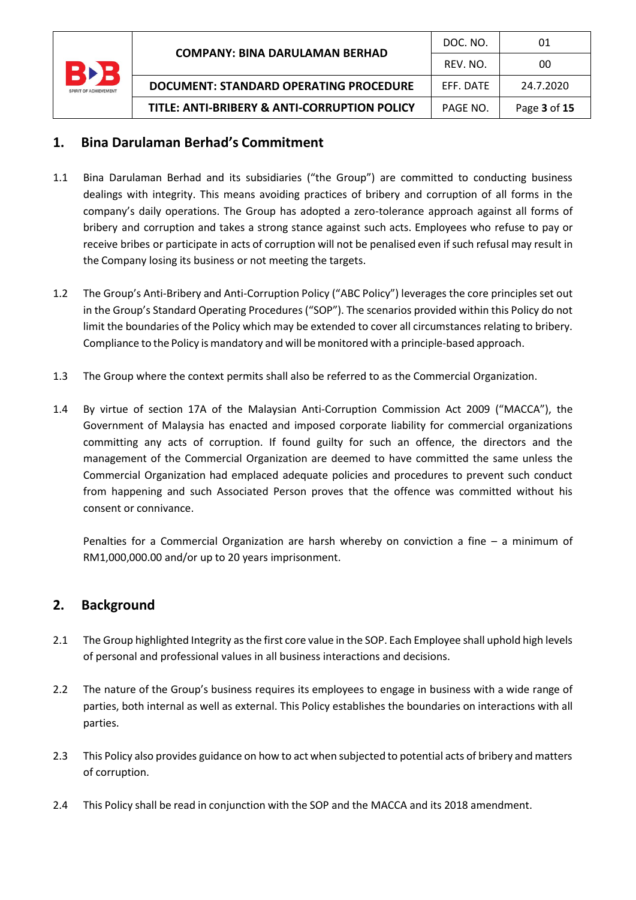| BĐ<br><b>SPIRIT OF ACHIEVEMENT</b> |                                               | DOC. NO.  | 01           |
|------------------------------------|-----------------------------------------------|-----------|--------------|
|                                    | <b>COMPANY: BINA DARULAMAN BERHAD</b>         | REV. NO.  | 00           |
|                                    | <b>DOCUMENT: STANDARD OPERATING PROCEDURE</b> | FFF. DATE | 24.7.2020    |
|                                    | TITLE: ANTI-BRIBERY & ANTI-CORRUPTION POLICY  | PAGE NO.  | Page 3 of 15 |

## **1. Bina Darulaman Berhad's Commitment**

- 1.1 Bina Darulaman Berhad and its subsidiaries ("the Group") are committed to conducting business dealings with integrity. This means avoiding practices of bribery and corruption of all forms in the company's daily operations. The Group has adopted a zero-tolerance approach against all forms of bribery and corruption and takes a strong stance against such acts. Employees who refuse to pay or receive bribes or participate in acts of corruption will not be penalised even if such refusal may result in the Company losing its business or not meeting the targets.
- 1.2 The Group's Anti-Bribery and Anti-Corruption Policy ("ABC Policy") leverages the core principles set out in the Group's Standard Operating Procedures ("SOP"). The scenarios provided within this Policy do not limit the boundaries of the Policy which may be extended to cover all circumstances relating to bribery. Compliance to the Policy is mandatory and will be monitored with a principle-based approach.
- 1.3 The Group where the context permits shall also be referred to as the Commercial Organization.
- 1.4 By virtue of section 17A of the Malaysian Anti-Corruption Commission Act 2009 ("MACCA"), the Government of Malaysia has enacted and imposed corporate liability for commercial organizations committing any acts of corruption. If found guilty for such an offence, the directors and the management of the Commercial Organization are deemed to have committed the same unless the Commercial Organization had emplaced adequate policies and procedures to prevent such conduct from happening and such Associated Person proves that the offence was committed without his consent or connivance.

Penalties for a Commercial Organization are harsh whereby on conviction a fine – a minimum of RM1,000,000.00 and/or up to 20 years imprisonment.

## **2. Background**

- 2.1 The Group highlighted Integrity as the first core value in the SOP. Each Employee shall uphold high levels of personal and professional values in all business interactions and decisions.
- 2.2 The nature of the Group's business requires its employees to engage in business with a wide range of parties, both internal as well as external. This Policy establishes the boundaries on interactions with all parties.
- 2.3 This Policy also provides guidance on how to act when subjected to potential acts of bribery and matters of corruption.
- 2.4 This Policy shall be read in conjunction with the SOP and the MACCA and its 2018 amendment.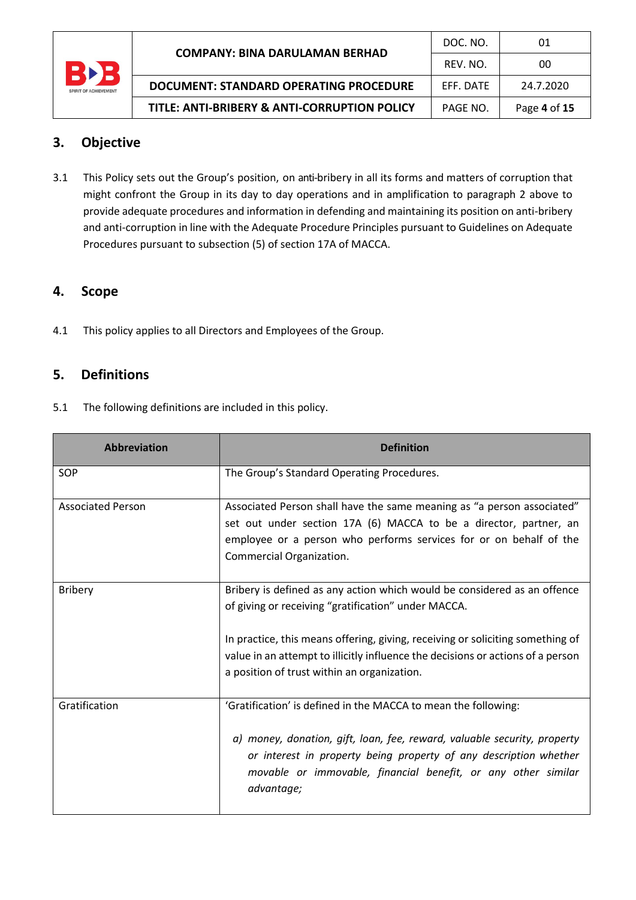

## **3. Objective**

3.1 This Policy sets out the Group's position, on anti-bribery in all its forms and matters of corruption that might confront the Group in its day to day operations and in amplification to paragraph 2 above to provide adequate procedures and information in defending and maintaining its position on anti-bribery and anti-corruption in line with the Adequate Procedure Principles pursuant to Guidelines on Adequate Procedures pursuant to subsection (5) of section 17A of MACCA.

## **4. Scope**

4.1 This policy applies to all Directors and Employees of the Group.

## **5. Definitions**

5.1 The following definitions are included in this policy.

| <b>Abbreviation</b>      | <b>Definition</b>                                                                                                                                                                                                                                                                                                                                   |  |  |
|--------------------------|-----------------------------------------------------------------------------------------------------------------------------------------------------------------------------------------------------------------------------------------------------------------------------------------------------------------------------------------------------|--|--|
| SOP                      | The Group's Standard Operating Procedures.                                                                                                                                                                                                                                                                                                          |  |  |
| <b>Associated Person</b> | Associated Person shall have the same meaning as "a person associated"<br>set out under section 17A (6) MACCA to be a director, partner, an<br>employee or a person who performs services for or on behalf of the<br>Commercial Organization.                                                                                                       |  |  |
| <b>Bribery</b>           | Bribery is defined as any action which would be considered as an offence<br>of giving or receiving "gratification" under MACCA.<br>In practice, this means offering, giving, receiving or soliciting something of<br>value in an attempt to illicitly influence the decisions or actions of a person<br>a position of trust within an organization. |  |  |
| Gratification            | 'Gratification' is defined in the MACCA to mean the following:<br>a) money, donation, gift, loan, fee, reward, valuable security, property<br>or interest in property being property of any description whether<br>movable or immovable, financial benefit, or any other similar<br>advantage;                                                      |  |  |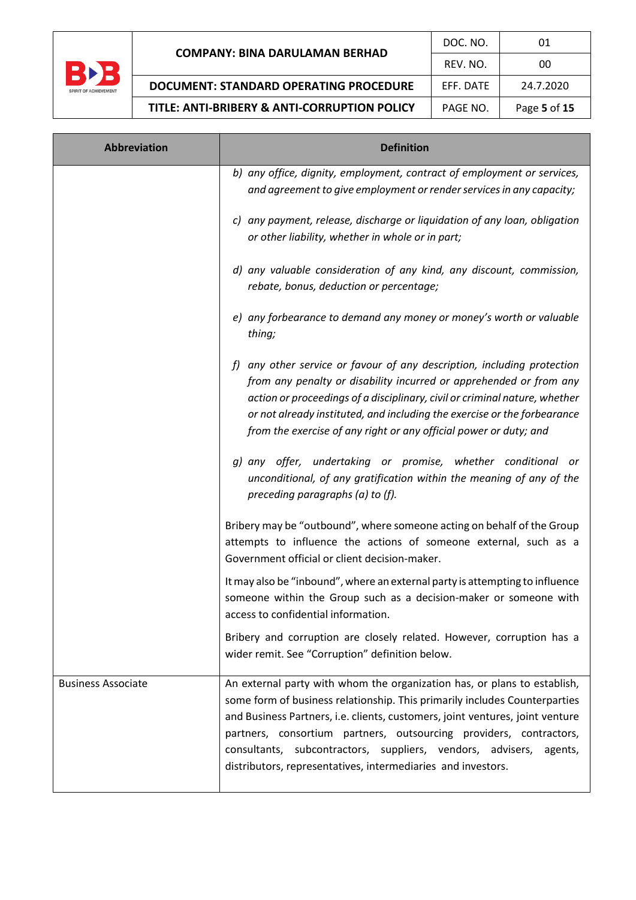

| <b>Abbreviation</b>       | <b>Definition</b>                                                                                                                                                                                                                                                                                                                                                                                                                                   |  |  |
|---------------------------|-----------------------------------------------------------------------------------------------------------------------------------------------------------------------------------------------------------------------------------------------------------------------------------------------------------------------------------------------------------------------------------------------------------------------------------------------------|--|--|
|                           | b) any office, dignity, employment, contract of employment or services,<br>and agreement to give employment or render services in any capacity;                                                                                                                                                                                                                                                                                                     |  |  |
|                           | c) any payment, release, discharge or liquidation of any loan, obligation<br>or other liability, whether in whole or in part;                                                                                                                                                                                                                                                                                                                       |  |  |
|                           | d) any valuable consideration of any kind, any discount, commission,<br>rebate, bonus, deduction or percentage;                                                                                                                                                                                                                                                                                                                                     |  |  |
|                           | e) any forbearance to demand any money or money's worth or valuable<br>thing;                                                                                                                                                                                                                                                                                                                                                                       |  |  |
|                           | f) any other service or favour of any description, including protection<br>from any penalty or disability incurred or apprehended or from any<br>action or proceedings of a disciplinary, civil or criminal nature, whether<br>or not already instituted, and including the exercise or the forbearance<br>from the exercise of any right or any official power or duty; and                                                                        |  |  |
|                           | g) any offer, undertaking or promise, whether conditional or<br>unconditional, of any gratification within the meaning of any of the<br>preceding paragraphs (a) to (f).                                                                                                                                                                                                                                                                            |  |  |
|                           | Bribery may be "outbound", where someone acting on behalf of the Group<br>attempts to influence the actions of someone external, such as a<br>Government official or client decision-maker.                                                                                                                                                                                                                                                         |  |  |
|                           | It may also be "inbound", where an external party is attempting to influence<br>someone within the Group such as a decision-maker or someone with<br>access to confidential information.                                                                                                                                                                                                                                                            |  |  |
|                           | Bribery and corruption are closely related. However, corruption has a<br>wider remit. See "Corruption" definition below.                                                                                                                                                                                                                                                                                                                            |  |  |
| <b>Business Associate</b> | An external party with whom the organization has, or plans to establish,<br>some form of business relationship. This primarily includes Counterparties<br>and Business Partners, i.e. clients, customers, joint ventures, joint venture<br>partners, consortium partners, outsourcing providers, contractors,<br>consultants, subcontractors, suppliers, vendors, advisers, agents,<br>distributors, representatives, intermediaries and investors. |  |  |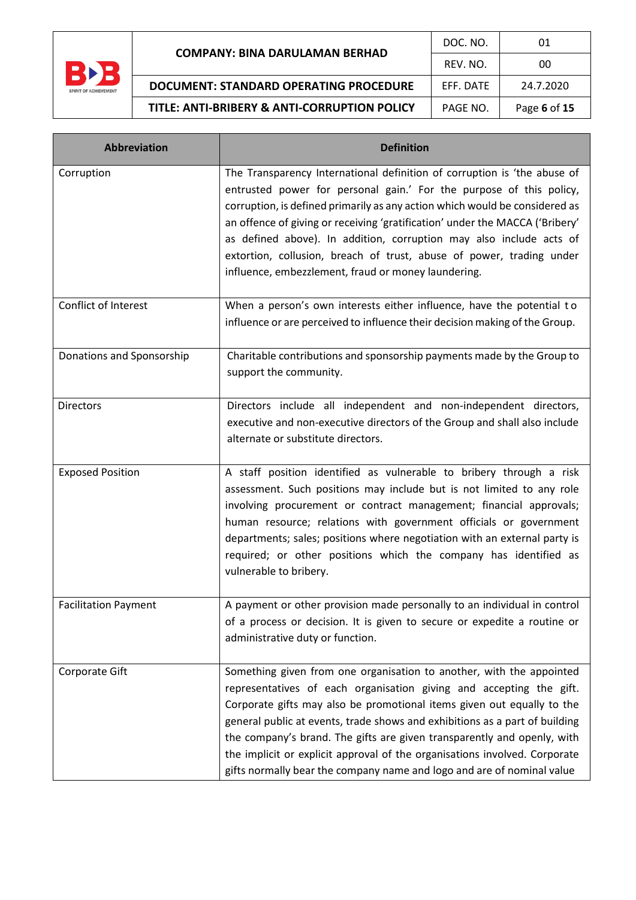

Г

**TITLE: ANTI-BRIBERY & ANTI-CORRUPTION PC** 

a sa kacamatan ing Kabupatèn Kabupatèn Kabupatèn Kabupatèn Kabupatèn Kabupatèn Kabupatèn Kabupatèn Kabupatèn K

|              | DOC. NO.         | 01           |
|--------------|------------------|--------------|
|              | REV. NO.         | ΩO           |
| <b>DURE</b>  | <b>FFF. DATE</b> | 24.7.2020    |
| <b>DLICY</b> | PAGE NO.         | Page 6 of 15 |

| <b>Abbreviation</b>         | <b>Definition</b>                                                                                                                                                                                                                                                                                                                                                                                                                                                                                                                       |  |  |
|-----------------------------|-----------------------------------------------------------------------------------------------------------------------------------------------------------------------------------------------------------------------------------------------------------------------------------------------------------------------------------------------------------------------------------------------------------------------------------------------------------------------------------------------------------------------------------------|--|--|
| Corruption                  | The Transparency International definition of corruption is 'the abuse of<br>entrusted power for personal gain.' For the purpose of this policy,<br>corruption, is defined primarily as any action which would be considered as<br>an offence of giving or receiving 'gratification' under the MACCA ('Bribery'<br>as defined above). In addition, corruption may also include acts of<br>extortion, collusion, breach of trust, abuse of power, trading under<br>influence, embezzlement, fraud or money laundering.                    |  |  |
| Conflict of Interest        | When a person's own interests either influence, have the potential to<br>influence or are perceived to influence their decision making of the Group.                                                                                                                                                                                                                                                                                                                                                                                    |  |  |
| Donations and Sponsorship   | Charitable contributions and sponsorship payments made by the Group to<br>support the community.                                                                                                                                                                                                                                                                                                                                                                                                                                        |  |  |
| <b>Directors</b>            | Directors include all independent and non-independent directors,<br>executive and non-executive directors of the Group and shall also include<br>alternate or substitute directors.                                                                                                                                                                                                                                                                                                                                                     |  |  |
| <b>Exposed Position</b>     | A staff position identified as vulnerable to bribery through a risk<br>assessment. Such positions may include but is not limited to any role<br>involving procurement or contract management; financial approvals;<br>human resource; relations with government officials or government<br>departments; sales; positions where negotiation with an external party is<br>required; or other positions which the company has identified as<br>vulnerable to bribery.                                                                      |  |  |
| <b>Facilitation Payment</b> | A payment or other provision made personally to an individual in control<br>of a process or decision. It is given to secure or expedite a routine or<br>administrative duty or function.                                                                                                                                                                                                                                                                                                                                                |  |  |
| Corporate Gift              | Something given from one organisation to another, with the appointed<br>representatives of each organisation giving and accepting the gift.<br>Corporate gifts may also be promotional items given out equally to the<br>general public at events, trade shows and exhibitions as a part of building<br>the company's brand. The gifts are given transparently and openly, with<br>the implicit or explicit approval of the organisations involved. Corporate<br>gifts normally bear the company name and logo and are of nominal value |  |  |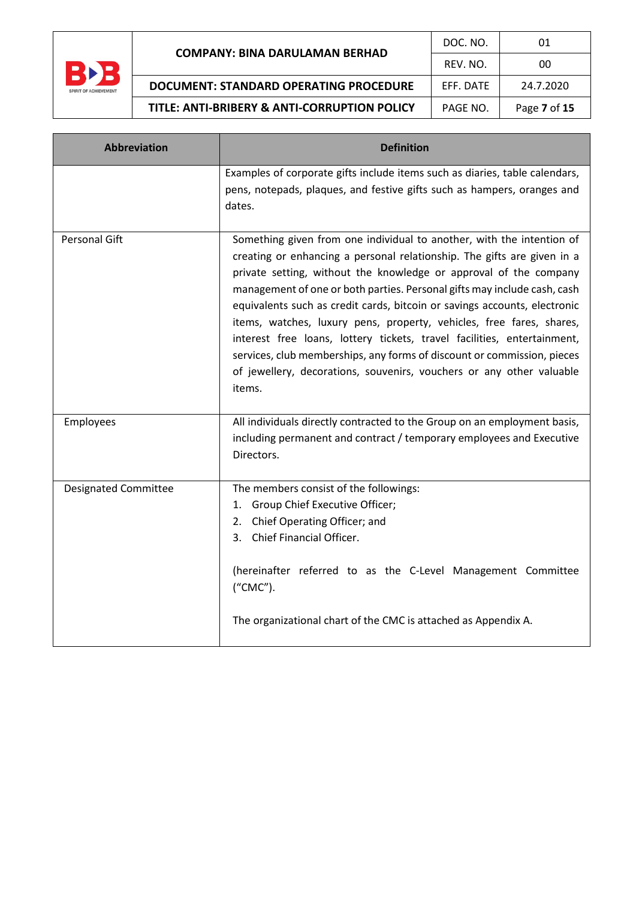

| <b>Abbreviation</b>         | <b>Definition</b>                                                                                                                                                                                                                                                                                                                                                                                                                                                                                                                                                                                                                                                                              |  |  |
|-----------------------------|------------------------------------------------------------------------------------------------------------------------------------------------------------------------------------------------------------------------------------------------------------------------------------------------------------------------------------------------------------------------------------------------------------------------------------------------------------------------------------------------------------------------------------------------------------------------------------------------------------------------------------------------------------------------------------------------|--|--|
|                             | Examples of corporate gifts include items such as diaries, table calendars,<br>pens, notepads, plaques, and festive gifts such as hampers, oranges and<br>dates.                                                                                                                                                                                                                                                                                                                                                                                                                                                                                                                               |  |  |
| <b>Personal Gift</b>        | Something given from one individual to another, with the intention of<br>creating or enhancing a personal relationship. The gifts are given in a<br>private setting, without the knowledge or approval of the company<br>management of one or both parties. Personal gifts may include cash, cash<br>equivalents such as credit cards, bitcoin or savings accounts, electronic<br>items, watches, luxury pens, property, vehicles, free fares, shares,<br>interest free loans, lottery tickets, travel facilities, entertainment,<br>services, club memberships, any forms of discount or commission, pieces<br>of jewellery, decorations, souvenirs, vouchers or any other valuable<br>items. |  |  |
| Employees                   | All individuals directly contracted to the Group on an employment basis,<br>including permanent and contract / temporary employees and Executive<br>Directors.                                                                                                                                                                                                                                                                                                                                                                                                                                                                                                                                 |  |  |
| <b>Designated Committee</b> | The members consist of the followings:<br>Group Chief Executive Officer;<br>1.<br>Chief Operating Officer; and<br>2.<br>Chief Financial Officer.<br>3.<br>(hereinafter referred to as the C-Level Management Committee<br>("CMC").<br>The organizational chart of the CMC is attached as Appendix A.                                                                                                                                                                                                                                                                                                                                                                                           |  |  |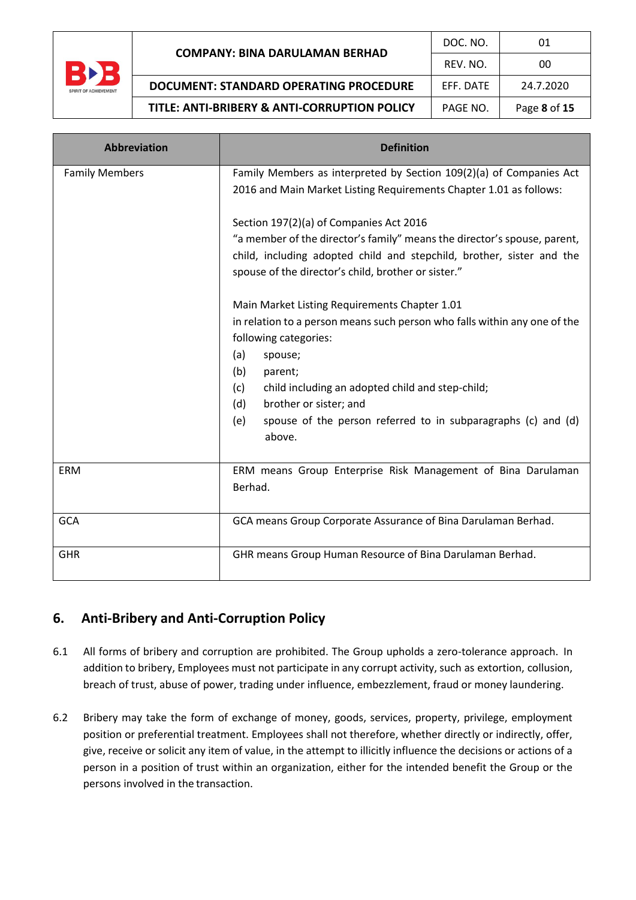

| <b>Abbreviation</b>   | <b>Definition</b>                                                                                                                                                                                                                                                                                                                                                     |  |  |
|-----------------------|-----------------------------------------------------------------------------------------------------------------------------------------------------------------------------------------------------------------------------------------------------------------------------------------------------------------------------------------------------------------------|--|--|
| <b>Family Members</b> | Family Members as interpreted by Section 109(2)(a) of Companies Act<br>2016 and Main Market Listing Requirements Chapter 1.01 as follows:                                                                                                                                                                                                                             |  |  |
|                       | Section 197(2)(a) of Companies Act 2016<br>"a member of the director's family" means the director's spouse, parent,<br>child, including adopted child and stepchild, brother, sister and the<br>spouse of the director's child, brother or sister."                                                                                                                   |  |  |
|                       | Main Market Listing Requirements Chapter 1.01<br>in relation to a person means such person who falls within any one of the<br>following categories:<br>(a)<br>spouse;<br>(b)<br>parent;<br>child including an adopted child and step-child;<br>(c)<br>brother or sister; and<br>(d)<br>spouse of the person referred to in subparagraphs (c) and (d)<br>(e)<br>above. |  |  |
| ERM                   | ERM means Group Enterprise Risk Management of Bina Darulaman<br>Berhad.                                                                                                                                                                                                                                                                                               |  |  |
| <b>GCA</b>            | GCA means Group Corporate Assurance of Bina Darulaman Berhad.                                                                                                                                                                                                                                                                                                         |  |  |
| <b>GHR</b>            | GHR means Group Human Resource of Bina Darulaman Berhad.                                                                                                                                                                                                                                                                                                              |  |  |

## **6. Anti-Bribery and Anti-Corruption Policy**

- 6.1 All forms of bribery and corruption are prohibited. The Group upholds a zero-tolerance approach. In addition to bribery, Employees must not participate in any corrupt activity, such as extortion, collusion, breach of trust, abuse of power, trading under influence, embezzlement, fraud or money laundering.
- 6.2 Bribery may take the form of exchange of money, goods, services, property, privilege, employment position or preferential treatment. Employees shall not therefore, whether directly or indirectly, offer, give, receive or solicit any item of value, in the attempt to illicitly influence the decisions or actions of a person in a position of trust within an organization, either for the intended benefit the Group or the persons involved in the transaction.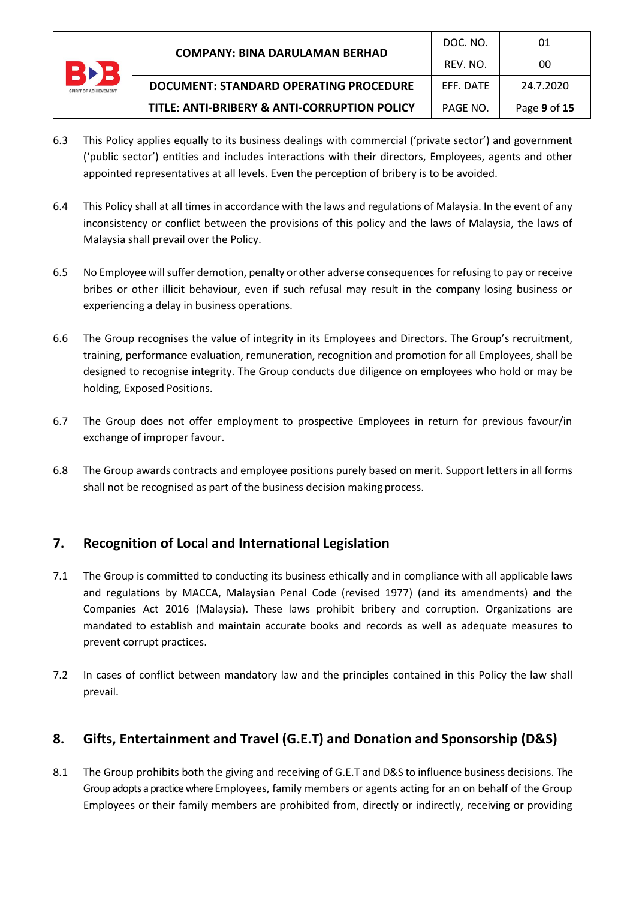

- 6.3 This Policy applies equally to its business dealings with commercial ('private sector') and government ('public sector') entities and includes interactions with their directors, Employees, agents and other appointed representatives at all levels. Even the perception of bribery is to be avoided.
- 6.4 This Policy shall at all times in accordance with the laws and regulations of Malaysia. In the event of any inconsistency or conflict between the provisions of this policy and the laws of Malaysia, the laws of Malaysia shall prevail over the Policy.
- 6.5 No Employee willsuffer demotion, penalty or other adverse consequencesforrefusing to pay or receive bribes or other illicit behaviour, even if such refusal may result in the company losing business or experiencing a delay in business operations.
- 6.6 The Group recognises the value of integrity in its Employees and Directors. The Group's recruitment, training, performance evaluation, remuneration, recognition and promotion for all Employees, shall be designed to recognise integrity. The Group conducts due diligence on employees who hold or may be holding, Exposed Positions.
- 6.7 The Group does not offer employment to prospective Employees in return for previous favour/in exchange of improper favour.
- 6.8 The Group awards contracts and employee positions purely based on merit. Support letters in all forms shall not be recognised as part of the business decision making process.

## **7. Recognition of Local and International Legislation**

- 7.1 The Group is committed to conducting its business ethically and in compliance with all applicable laws and regulations by MACCA, Malaysian Penal Code (revised 1977) (and its amendments) and the Companies Act 2016 (Malaysia). These laws prohibit bribery and corruption. Organizations are mandated to establish and maintain accurate books and records as well as adequate measures to prevent corrupt practices.
- 7.2 In cases of conflict between mandatory law and the principles contained in this Policy the law shall prevail.

## **8. Gifts, Entertainment and Travel (G.E.T) and Donation and Sponsorship (D&S)**

8.1 The Group prohibits both the giving and receiving of G.E.T and D&S to influence business decisions. The Group adopts a practice where Employees, family members or agents acting for an on behalf of the Group Employees or their family members are prohibited from, directly or indirectly, receiving or providing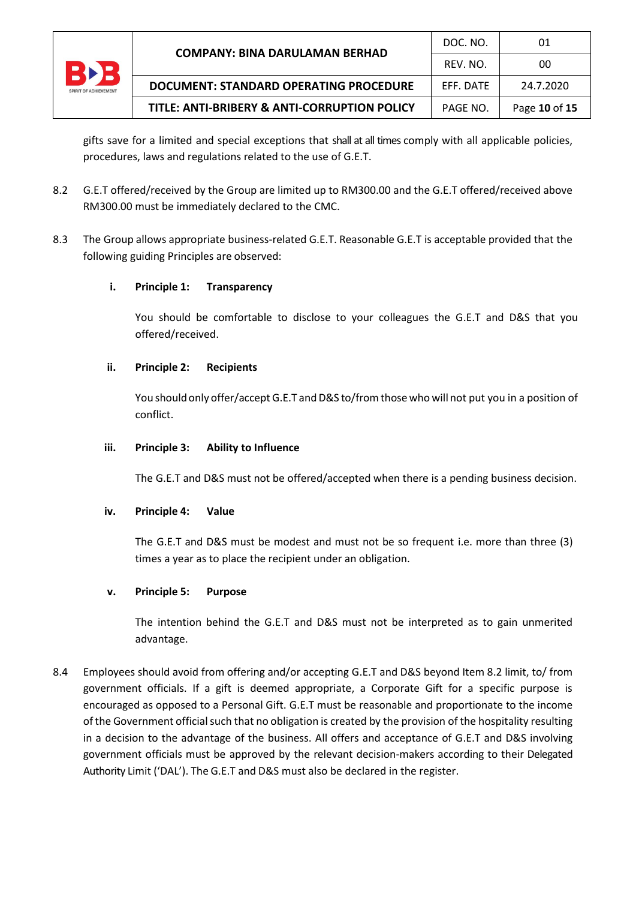

gifts save for a limited and special exceptions that shall at all times comply with all applicable policies, procedures, laws and regulations related to the use of G.E.T.

- 8.2 G.E.T offered/received by the Group are limited up to RM300.00 and the G.E.T offered/received above RM300.00 must be immediately declared to the CMC.
- 8.3 The Group allows appropriate business-related G.E.T. Reasonable G.E.T is acceptable provided that the following guiding Principles are observed:

#### **i. Principle 1: Transparency**

You should be comfortable to disclose to your colleagues the G.E.T and D&S that you offered/received.

#### **ii. Principle 2: Recipients**

You should only offer/accept G.E.T and D&S to/from those who will not put you in a position of conflict.

#### **iii. Principle 3: Ability to Influence**

The G.E.T and D&S must not be offered/accepted when there is a pending business decision.

#### **iv. Principle 4: Value**

The G.E.T and D&S must be modest and must not be so frequent i.e. more than three (3) times a year as to place the recipient under an obligation.

#### **v. Principle 5: Purpose**

The intention behind the G.E.T and D&S must not be interpreted as to gain unmerited advantage.

8.4 Employees should avoid from offering and/or accepting G.E.T and D&S beyond Item 8.2 limit, to/ from government officials. If a gift is deemed appropriate, a Corporate Gift for a specific purpose is encouraged as opposed to a Personal Gift. G.E.T must be reasonable and proportionate to the income of the Government official such that no obligation is created by the provision of the hospitality resulting in a decision to the advantage of the business. All offers and acceptance of G.E.T and D&S involving government officials must be approved by the relevant decision-makers according to their Delegated Authority Limit ('DAL'). The G.E.T and D&S must also be declared in the register.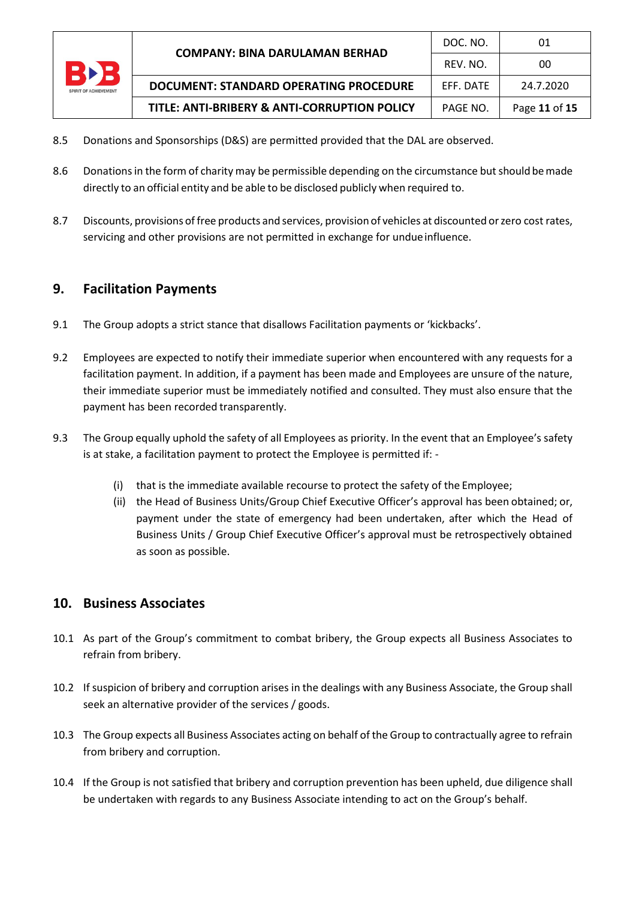

- 8.5 Donations and Sponsorships (D&S) are permitted provided that the DAL are observed.
- 8.6 Donations in the form of charity may be permissible depending on the circumstance but should be made directly to an official entity and be able to be disclosed publicly when required to.
- 8.7 Discounts, provisions of free products and services, provision of vehicles at discounted orzero cost rates, servicing and other provisions are not permitted in exchange for undue influence.

## **9. Facilitation Payments**

- 9.1 The Group adopts a strict stance that disallows Facilitation payments or 'kickbacks'.
- 9.2 Employees are expected to notify their immediate superior when encountered with any requests for a facilitation payment. In addition, if a payment has been made and Employees are unsure of the nature, their immediate superior must be immediately notified and consulted. They must also ensure that the payment has been recorded transparently.
- 9.3 The Group equally uphold the safety of all Employees as priority. In the event that an Employee's safety is at stake, a facilitation payment to protect the Employee is permitted if: -
	- (i) that is the immediate available recourse to protect the safety of the Employee;
	- (ii) the Head of Business Units/Group Chief Executive Officer's approval has been obtained; or, payment under the state of emergency had been undertaken, after which the Head of Business Units / Group Chief Executive Officer's approval must be retrospectively obtained as soon as possible.

## **10. Business Associates**

- 10.1 As part of the Group's commitment to combat bribery, the Group expects all Business Associates to refrain from bribery.
- 10.2 If suspicion of bribery and corruption arises in the dealings with any Business Associate, the Group shall seek an alternative provider of the services / goods.
- 10.3 The Group expects all Business Associates acting on behalf of the Group to contractually agree to refrain from bribery and corruption.
- 10.4 If the Group is not satisfied that bribery and corruption prevention has been upheld, due diligence shall be undertaken with regards to any Business Associate intending to act on the Group's behalf.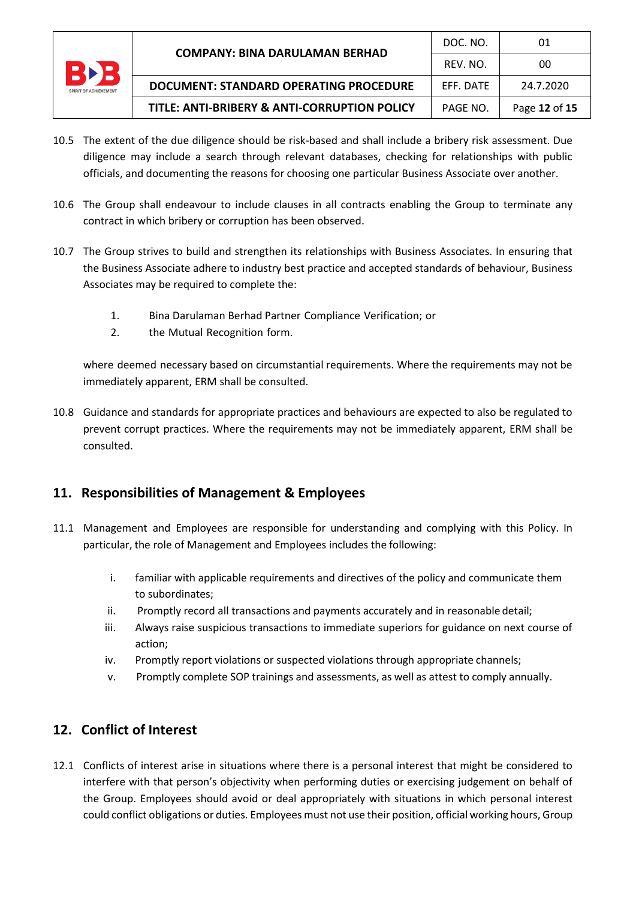

- 10.5 The extent of the due diligence should be risk-based and shall include a bribery risk assessment. Due diligence may include a search through relevant databases, checking for relationships with public officials, and documenting the reasons for choosing one particular Business Associate over another.
- 10.6 The Group shall endeavour to include clauses in all contracts enabling the Group to terminate any contract in which bribery or corruption has been observed.
- 10.7 The Group strives to build and strengthen its relationships with Business Associates. In ensuring that the Business Associate adhere to industry best practice and accepted standards of behaviour, Business Associates may be required to complete the:
	- 1. Bina Darulaman Berhad Partner Compliance Verification; or
	- 2. the Mutual Recognition form.

where deemed necessary based on circumstantial requirements. Where the requirements may not be immediately apparent, ERM shall be consulted.

10.8 Guidance and standards for appropriate practices and behaviours are expected to also be regulated to prevent corrupt practices. Where the requirements may not be immediately apparent, ERM shall be consulted.

## **11. Responsibilities of Management & Employees**

- 11.1 Management and Employees are responsible for understanding and complying with this Policy. In particular, the role of Management and Employees includes the following:
	- i. familiar with applicable requirements and directives of the policy and communicate them to subordinates;
	- ii. Promptly record all transactions and payments accurately and in reasonable detail;
	- iii. Always raise suspicious transactions to immediate superiors for guidance on next course of action;
	- iv. Promptly report violations or suspected violations through appropriate channels;
	- v. Promptly complete SOP trainings and assessments, as well as attest to comply annually.

## **12. Conflict of Interest**

12.1 Conflicts of interest arise in situations where there is a personal interest that might be considered to interfere with that person's objectivity when performing duties or exercising judgement on behalf of the Group. Employees should avoid or deal appropriately with situations in which personal interest could conflict obligations or duties. Employees must not use their position, official working hours, Group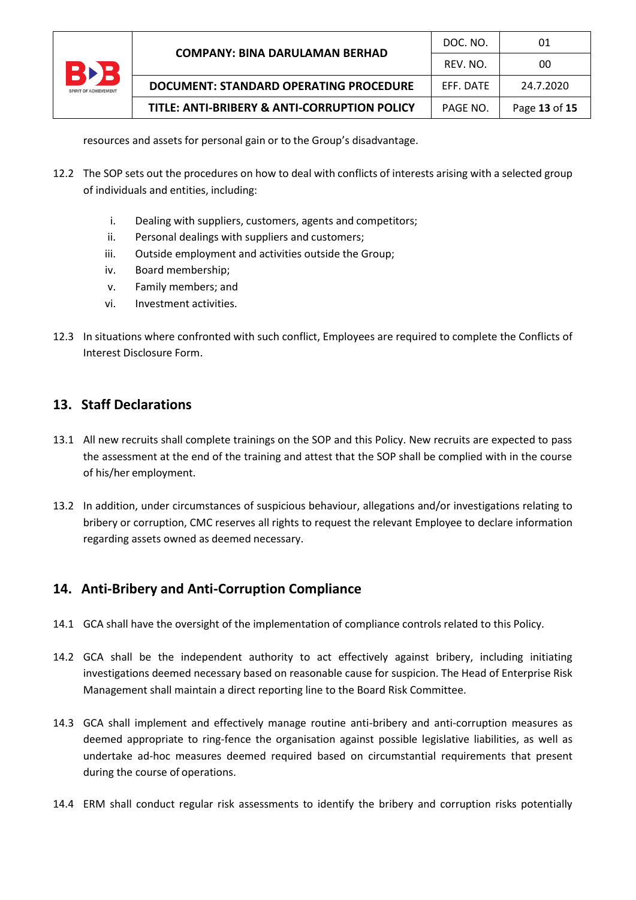| <b>SPIRIT OF ACHIEVEMENT</b> | <b>COMPANY: BINA DARULAMAN BERHAD</b>        | DOC. NO.  | 01            |
|------------------------------|----------------------------------------------|-----------|---------------|
|                              |                                              | REV. NO.  | 00            |
|                              | DOCUMENT: STANDARD OPERATING PROCEDURE       | EFF. DATE | 24.7.2020     |
|                              | TITLE: ANTI-BRIBERY & ANTI-CORRUPTION POLICY | PAGE NO.  | Page 13 of 15 |

resources and assets for personal gain or to the Group's disadvantage.

- 12.2 The SOP sets out the procedures on how to deal with conflicts of interests arising with a selected group of individuals and entities, including:
	- i. Dealing with suppliers, customers, agents and competitors;
	- ii. Personal dealings with suppliers and customers;
	- iii. Outside employment and activities outside the Group;
	- iv. Board membership;
	- v. Family members; and
	- vi. Investment activities.
- 12.3 In situations where confronted with such conflict, Employees are required to complete the Conflicts of Interest Disclosure Form.

## **13. Staff Declarations**

- 13.1 All new recruits shall complete trainings on the SOP and this Policy. New recruits are expected to pass the assessment at the end of the training and attest that the SOP shall be complied with in the course of his/her employment.
- 13.2 In addition, under circumstances of suspicious behaviour, allegations and/or investigations relating to bribery or corruption, CMC reserves all rights to request the relevant Employee to declare information regarding assets owned as deemed necessary.

## **14. Anti-Bribery and Anti-Corruption Compliance**

- 14.1 GCA shall have the oversight of the implementation of compliance controls related to this Policy.
- 14.2 GCA shall be the independent authority to act effectively against bribery, including initiating investigations deemed necessary based on reasonable cause for suspicion. The Head of Enterprise Risk Management shall maintain a direct reporting line to the Board Risk Committee.
- 14.3 GCA shall implement and effectively manage routine anti-bribery and anti-corruption measures as deemed appropriate to ring-fence the organisation against possible legislative liabilities, as well as undertake ad-hoc measures deemed required based on circumstantial requirements that present during the course of operations.
- 14.4 ERM shall conduct regular risk assessments to identify the bribery and corruption risks potentially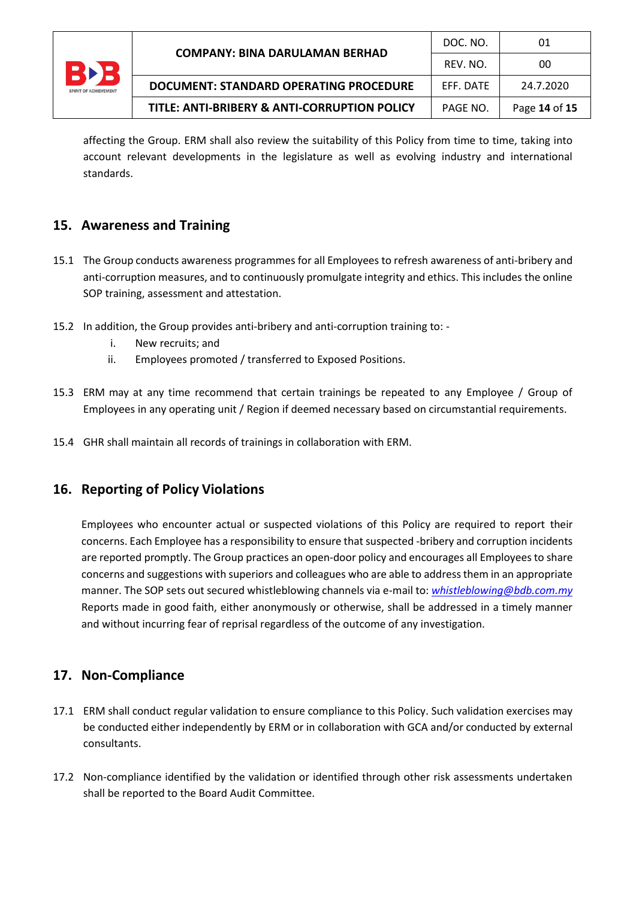

affecting the Group. ERM shall also review the suitability of this Policy from time to time, taking into account relevant developments in the legislature as well as evolving industry and international standards.

## **15. Awareness and Training**

- 15.1 The Group conducts awareness programmes for all Employees to refresh awareness of anti-bribery and anti-corruption measures, and to continuously promulgate integrity and ethics. This includes the online SOP training, assessment and attestation.
- 15.2 In addition, the Group provides anti-bribery and anti-corruption training to:
	- i. New recruits; and
	- ii. Employees promoted / transferred to Exposed Positions.
- 15.3 ERM may at any time recommend that certain trainings be repeated to any Employee / Group of Employees in any operating unit / Region if deemed necessary based on circumstantial requirements.
- 15.4 GHR shall maintain all records of trainings in collaboration with ERM.

## **16. Reporting of Policy Violations**

Employees who encounter actual or suspected violations of this Policy are required to report their concerns. Each Employee has a responsibility to ensure that suspected -bribery and corruption incidents are reported promptly. The Group practices an open-door policy and encourages all Employees to share concerns and suggestions with superiors and colleagues who are able to address them in an appropriate manner. The SOP sets out secured whistleblowing channels via e-mail to: *[whistleblowing@bdb.com.my](mailto:whistleblowing@bdb.com.my)* Reports made in good faith, either anonymously or otherwise, shall be addressed in a timely manner and without incurring fear of reprisal regardless of the outcome of any investigation.

## **17. Non-Compliance**

- 17.1 ERM shall conduct regular validation to ensure compliance to this Policy. Such validation exercises may be conducted either independently by ERM or in collaboration with GCA and/or conducted by external consultants.
- 17.2 Non-compliance identified by the validation or identified through other risk assessments undertaken shall be reported to the Board Audit Committee.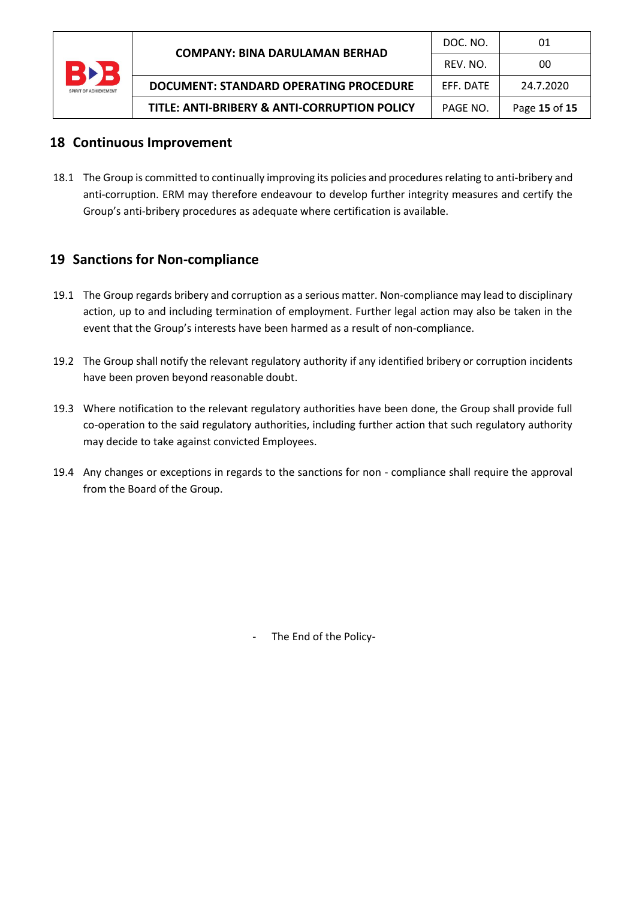

## **18 Continuous Improvement**

18.1 The Group is committed to continually improving its policies and procedures relating to anti-bribery and anti-corruption. ERM may therefore endeavour to develop further integrity measures and certify the Group's anti-bribery procedures as adequate where certification is available.

## **19 Sanctions for Non-compliance**

- 19.1 The Group regards bribery and corruption as a serious matter. Non-compliance may lead to disciplinary action, up to and including termination of employment. Further legal action may also be taken in the event that the Group's interests have been harmed as a result of non-compliance.
- 19.2 The Group shall notify the relevant regulatory authority if any identified bribery or corruption incidents have been proven beyond reasonable doubt.
- 19.3 Where notification to the relevant regulatory authorities have been done, the Group shall provide full co-operation to the said regulatory authorities, including further action that such regulatory authority may decide to take against convicted Employees.
- 19.4 Any changes or exceptions in regards to the sanctions for non compliance shall require the approval from the Board of the Group.

The End of the Policy-